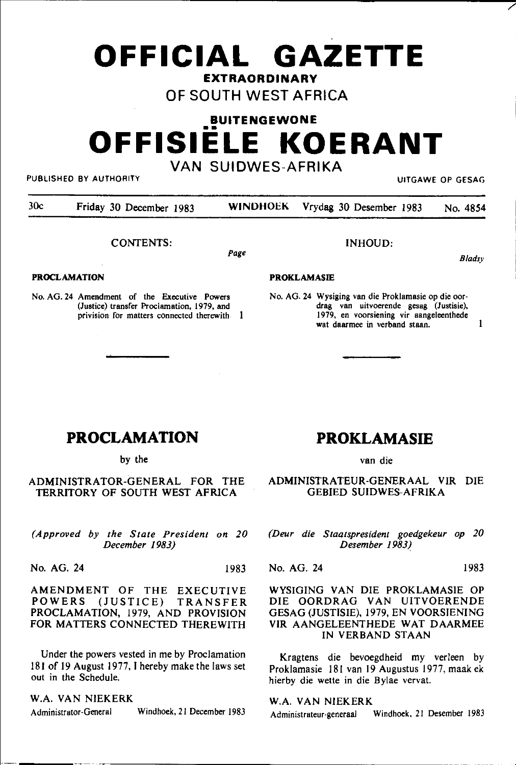# **OFFICIAL GAZETTE EXTRAORDINARY**

# OF SOUTH WEST AFRICA

# **BUITENGEWONE**  •• **OFFISIELE KOERANT**  VAN SUIDWES-AFRIKA

PUBLISHED BY AUTHORITY AND RESAGE OF GESAGE OF GESAGE OF GESAGE OF GESAGE OF GESAGE OF GESAGE OF GESAGE OF GESAG

*B/adsy* 

/

30c Friday 30 December 1983 WINDHOEK Vrydag 30 Desember 1983 No. 4854

CONTENTS:

Page

#### PROCLAMATION

No. AG. 24 Amendment of the Executive Powers (Justice) transfer Proclamation, 1979, and **privision for matters connected therewith** 

#### PROKLAMASIE

No. AG. 24 Wysiging van die Proklamasie op die oor**drag van uitvoerende gesag (Justisie), 1979, en voorsiening vir aangeleenthede wat daarmee in verband staan. 1** 

INHOUD:

# **PROCLAMATION**

by the

ADMINISTRATOR-GENERAL FOR THE TERRITORY OF SOUTH WEST AFRICA

*(Approved by the State President on 20 December 1983)* 

No. AG. 24 1983

AMENDMENT OF THE EXECUTIVE POWERS (JUSTICE) TRANSFER PROCLAMATION, 1979, AND PROVISION FOR MATTERS CONNECTED THEREWITH

Under the powers vested in me by Proclamation 181 of 19 August 1977, I hereby make the laws set out in the Schedule.

W.A. VAN NIEKERK Administrator-General Windhoek, 21 December 1983

# **PROKLAMASIE**

van die

ADMINISTRATEUR-GENERAAL VIR DIE GEBIED SUIDWES-AFRIKA

*(Deur die Staatspresident goedgekeur op 20 Desember 1983)* 

No. AG. 24 1983

# WYSIGING VAN DIE PROKLAMASIE OP DIE OORDRAG VAN UITVOERENDE GESAG (JUSTISIE), 1979, EN VOORSIENING VIR AANGELEENTHEDE WAT DAARMEE IN VERBANO STAAN

Kragtens die bevoegdheid my verleen by Proklamasie 181 van 19 Augustus 1977, maakek hierby die wette in die Bylae vervat.

W.A. VAN NIEKERK Administrateur-generaal Windhoek. 21 Desember 1983